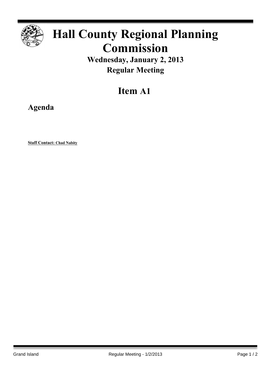

# **Hall County Regional Planning Commission**

**Wednesday, January 2, 2013 Regular Meeting**

## **Item A1**

**Agenda**

**Staff Contact: Chad Nabity**